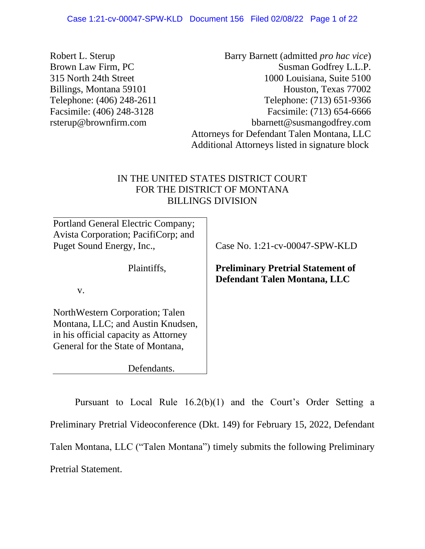| Robert L. Sterup                    | Barry Barnett (admitted <i>pro hac vice</i> )                                                  |
|-------------------------------------|------------------------------------------------------------------------------------------------|
| <b>Brown Law Firm, PC</b>           | Susman Godfrey L.L.P.                                                                          |
| 315 North 24th Street               | 1000 Louisiana, Suite 5100                                                                     |
| Billings, Montana 59101             | Houston, Texas 77002                                                                           |
| Telephone: (406) 248-2611           | Telephone: (713) 651-9366                                                                      |
| Facsimile: (406) 248-3128           | Facsimile: (713) 654-6666                                                                      |
| rsterup@brownfirm.com               | bbarnett@susmangodfrey.com                                                                     |
|                                     | Attorneys for Defendant Talen Montana, LLC                                                     |
|                                     | Additional Attorneys listed in signature block                                                 |
|                                     | IN THE UNITED STATES DISTRICT COURT<br>FOR THE DISTRICT OF MONTANA<br><b>BILLINGS DIVISION</b> |
| Portland General Electric Company;  |                                                                                                |
| Avista Corporation; PacifiCorp; and |                                                                                                |
| Puget Sound Energy, Inc.,           | Case No. 1:21-cv-00047-SPW-KLD                                                                 |
| Plaintiffs,<br>V.                   | <b>Preliminary Pretrial Statement of</b><br>Defendant Talen Montana, LLC                       |
|                                     |                                                                                                |

NorthWestern Corporation; Talen Montana, LLC; and Austin Knudsen, in his official capacity as Attorney General for the State of Montana,

Defendants.

Pursuant to Local Rule 16.2(b)(1) and the Court's Order Setting a Preliminary Pretrial Videoconference (Dkt. 149) for February 15, 2022, Defendant Talen Montana, LLC ("Talen Montana") timely submits the following Preliminary Pretrial Statement.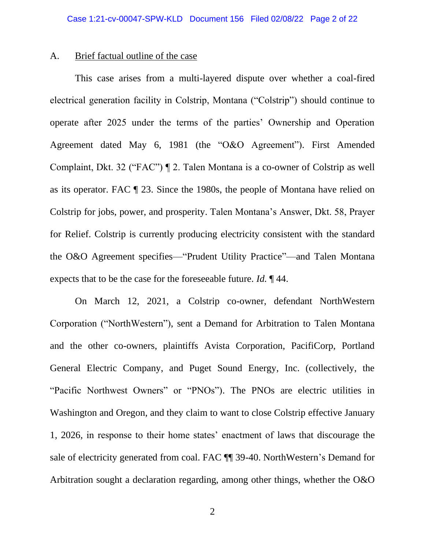# A. Brief factual outline of the case

This case arises from a multi-layered dispute over whether a coal-fired electrical generation facility in Colstrip, Montana ("Colstrip") should continue to operate after 2025 under the terms of the parties' Ownership and Operation Agreement dated May 6, 1981 (the "O&O Agreement"). First Amended Complaint, Dkt. 32 ("FAC") ¶ 2. Talen Montana is a co-owner of Colstrip as well as its operator. FAC ¶ 23. Since the 1980s, the people of Montana have relied on Colstrip for jobs, power, and prosperity. Talen Montana's Answer, Dkt. 58, Prayer for Relief. Colstrip is currently producing electricity consistent with the standard the O&O Agreement specifies—"Prudent Utility Practice"—and Talen Montana expects that to be the case for the foreseeable future. *Id.* ¶ 44.

On March 12, 2021, a Colstrip co-owner, defendant NorthWestern Corporation ("NorthWestern"), sent a Demand for Arbitration to Talen Montana and the other co-owners, plaintiffs Avista Corporation, PacifiCorp, Portland General Electric Company, and Puget Sound Energy, Inc. (collectively, the "Pacific Northwest Owners" or "PNOs"). The PNOs are electric utilities in Washington and Oregon, and they claim to want to close Colstrip effective January 1, 2026, in response to their home states' enactment of laws that discourage the sale of electricity generated from coal. FAC ¶¶ 39-40. NorthWestern's Demand for Arbitration sought a declaration regarding, among other things, whether the O&O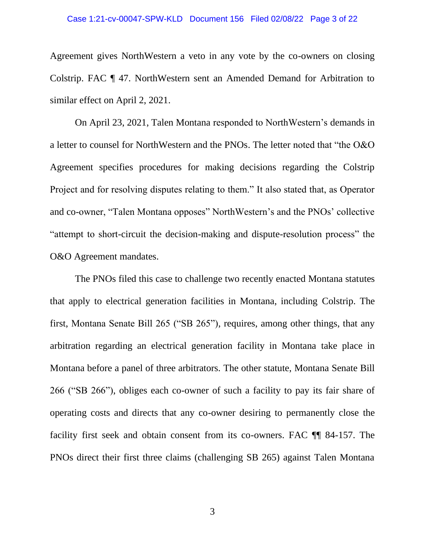#### Case 1:21-cv-00047-SPW-KLD Document 156 Filed 02/08/22 Page 3 of 22

Agreement gives NorthWestern a veto in any vote by the co-owners on closing Colstrip. FAC ¶ 47. NorthWestern sent an Amended Demand for Arbitration to similar effect on April 2, 2021.

On April 23, 2021, Talen Montana responded to NorthWestern's demands in a letter to counsel for NorthWestern and the PNOs. The letter noted that "the O&O Agreement specifies procedures for making decisions regarding the Colstrip Project and for resolving disputes relating to them." It also stated that, as Operator and co-owner, "Talen Montana opposes" NorthWestern's and the PNOs' collective "attempt to short-circuit the decision-making and dispute-resolution process" the O&O Agreement mandates.

The PNOs filed this case to challenge two recently enacted Montana statutes that apply to electrical generation facilities in Montana, including Colstrip. The first, Montana Senate Bill 265 ("SB 265"), requires, among other things, that any arbitration regarding an electrical generation facility in Montana take place in Montana before a panel of three arbitrators. The other statute, Montana Senate Bill 266 ("SB 266"), obliges each co-owner of such a facility to pay its fair share of operating costs and directs that any co-owner desiring to permanently close the facility first seek and obtain consent from its co-owners. FAC ¶¶ 84-157. The PNOs direct their first three claims (challenging SB 265) against Talen Montana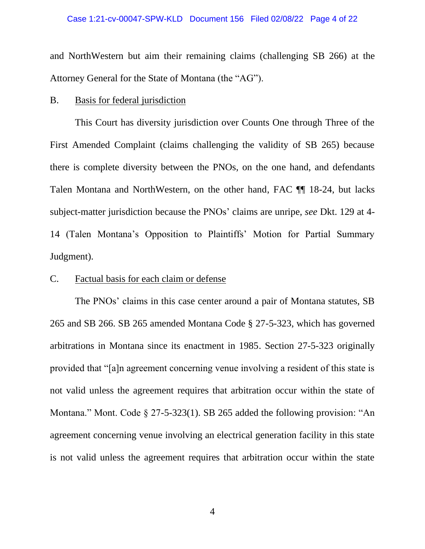#### Case 1:21-cv-00047-SPW-KLD Document 156 Filed 02/08/22 Page 4 of 22

and NorthWestern but aim their remaining claims (challenging SB 266) at the Attorney General for the State of Montana (the "AG").

# B. Basis for federal jurisdiction

This Court has diversity jurisdiction over Counts One through Three of the First Amended Complaint (claims challenging the validity of SB 265) because there is complete diversity between the PNOs, on the one hand, and defendants Talen Montana and NorthWestern, on the other hand, FAC ¶¶ 18-24, but lacks subject-matter jurisdiction because the PNOs' claims are unripe, *see* Dkt. 129 at 4- 14 (Talen Montana's Opposition to Plaintiffs' Motion for Partial Summary Judgment).

## C. Factual basis for each claim or defense

The PNOs' claims in this case center around a pair of Montana statutes, SB 265 and SB 266. SB 265 amended Montana Code § 27-5-323, which has governed arbitrations in Montana since its enactment in 1985. Section 27-5-323 originally provided that "[a]n agreement concerning venue involving a resident of this state is not valid unless the agreement requires that arbitration occur within the state of Montana." Mont. Code  $\S 27-5-323(1)$ . SB 265 added the following provision: "An agreement concerning venue involving an electrical generation facility in this state is not valid unless the agreement requires that arbitration occur within the state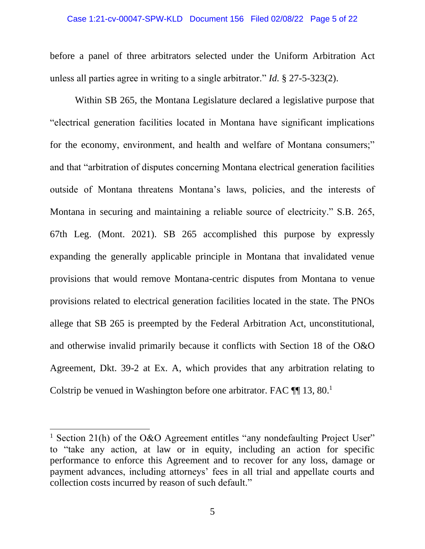#### Case 1:21-cv-00047-SPW-KLD Document 156 Filed 02/08/22 Page 5 of 22

before a panel of three arbitrators selected under the Uniform Arbitration Act unless all parties agree in writing to a single arbitrator." *Id.* § 27-5-323(2).

Within SB 265, the Montana Legislature declared a legislative purpose that "electrical generation facilities located in Montana have significant implications for the economy, environment, and health and welfare of Montana consumers;" and that "arbitration of disputes concerning Montana electrical generation facilities outside of Montana threatens Montana's laws, policies, and the interests of Montana in securing and maintaining a reliable source of electricity." S.B. 265, 67th Leg. (Mont. 2021). SB 265 accomplished this purpose by expressly expanding the generally applicable principle in Montana that invalidated venue provisions that would remove Montana-centric disputes from Montana to venue provisions related to electrical generation facilities located in the state. The PNOs allege that SB 265 is preempted by the Federal Arbitration Act, unconstitutional, and otherwise invalid primarily because it conflicts with Section 18 of the O&O Agreement, Dkt. 39-2 at Ex. A, which provides that any arbitration relating to Colstrip be venued in Washington before one arbitrator. FAC  $\P\P$  13, 80.<sup>1</sup>

<sup>&</sup>lt;sup>1</sup> Section 21(h) of the O&O Agreement entitles "any nondefaulting Project User" to "take any action, at law or in equity, including an action for specific performance to enforce this Agreement and to recover for any loss, damage or payment advances, including attorneys' fees in all trial and appellate courts and collection costs incurred by reason of such default."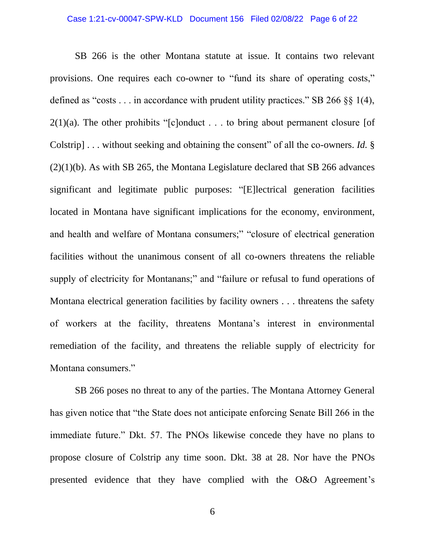#### Case 1:21-cv-00047-SPW-KLD Document 156 Filed 02/08/22 Page 6 of 22

SB 266 is the other Montana statute at issue. It contains two relevant provisions. One requires each co-owner to "fund its share of operating costs," defined as "costs  $\dots$  in accordance with prudent utility practices." SB 266  $\S$  1(4),  $2(1)(a)$ . The other prohibits "[c]onduct . . . to bring about permanent closure [of Colstrip] . . . without seeking and obtaining the consent" of all the co-owners. *Id.* §  $(2)(1)(b)$ . As with SB 265, the Montana Legislature declared that SB 266 advances significant and legitimate public purposes: "[E]lectrical generation facilities located in Montana have significant implications for the economy, environment, and health and welfare of Montana consumers;" "closure of electrical generation facilities without the unanimous consent of all co-owners threatens the reliable supply of electricity for Montanans;" and "failure or refusal to fund operations of Montana electrical generation facilities by facility owners . . . threatens the safety of workers at the facility, threatens Montana's interest in environmental remediation of the facility, and threatens the reliable supply of electricity for Montana consumers."

SB 266 poses no threat to any of the parties. The Montana Attorney General has given notice that "the State does not anticipate enforcing Senate Bill 266 in the immediate future." Dkt. 57. The PNOs likewise concede they have no plans to propose closure of Colstrip any time soon. Dkt. 38 at 28. Nor have the PNOs presented evidence that they have complied with the O&O Agreement's

6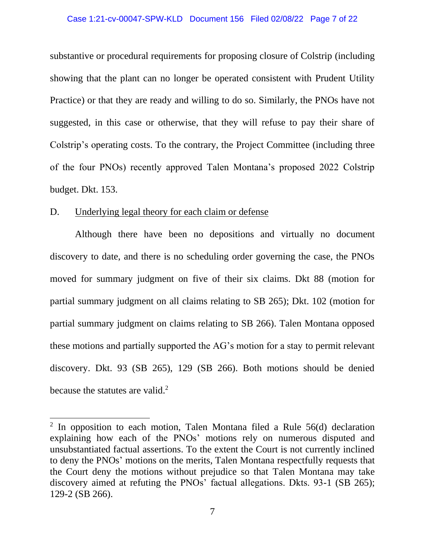#### Case 1:21-cv-00047-SPW-KLD Document 156 Filed 02/08/22 Page 7 of 22

substantive or procedural requirements for proposing closure of Colstrip (including showing that the plant can no longer be operated consistent with Prudent Utility Practice) or that they are ready and willing to do so. Similarly, the PNOs have not suggested, in this case or otherwise, that they will refuse to pay their share of Colstrip's operating costs. To the contrary, the Project Committee (including three of the four PNOs) recently approved Talen Montana's proposed 2022 Colstrip budget. Dkt. 153.

## D. Underlying legal theory for each claim or defense

Although there have been no depositions and virtually no document discovery to date, and there is no scheduling order governing the case, the PNOs moved for summary judgment on five of their six claims. Dkt 88 (motion for partial summary judgment on all claims relating to SB 265); Dkt. 102 (motion for partial summary judgment on claims relating to SB 266). Talen Montana opposed these motions and partially supported the AG's motion for a stay to permit relevant discovery. Dkt. 93 (SB 265), 129 (SB 266). Both motions should be denied because the statutes are valid. $<sup>2</sup>$ </sup>

 $2$  In opposition to each motion, Talen Montana filed a Rule 56(d) declaration explaining how each of the PNOs' motions rely on numerous disputed and unsubstantiated factual assertions. To the extent the Court is not currently inclined to deny the PNOs' motions on the merits, Talen Montana respectfully requests that the Court deny the motions without prejudice so that Talen Montana may take discovery aimed at refuting the PNOs' factual allegations. Dkts. 93-1 (SB 265); 129-2 (SB 266).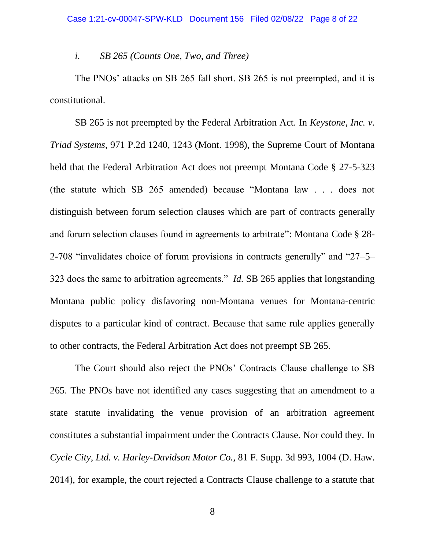#### *i. SB 265 (Counts One, Two, and Three)*

The PNOs' attacks on SB 265 fall short. SB 265 is not preempted, and it is constitutional.

SB 265 is not preempted by the Federal Arbitration Act. In *Keystone, Inc. v. Triad Systems*, 971 P.2d 1240, 1243 (Mont. 1998), the Supreme Court of Montana held that the Federal Arbitration Act does not preempt Montana Code § 27-5-323 (the statute which SB 265 amended) because "Montana law . . . does not distinguish between forum selection clauses which are part of contracts generally and forum selection clauses found in agreements to arbitrate": Montana Code § 28- 2-708 "invalidates choice of forum provisions in contracts generally" and "27–5– 323 does the same to arbitration agreements." *Id.* SB 265 applies that longstanding Montana public policy disfavoring non-Montana venues for Montana-centric disputes to a particular kind of contract. Because that same rule applies generally to other contracts, the Federal Arbitration Act does not preempt SB 265.

The Court should also reject the PNOs' Contracts Clause challenge to SB 265. The PNOs have not identified any cases suggesting that an amendment to a state statute invalidating the venue provision of an arbitration agreement constitutes a substantial impairment under the Contracts Clause. Nor could they. In *Cycle City, Ltd. v. Harley-Davidson Motor Co.*, 81 F. Supp. 3d 993, 1004 (D. Haw. 2014), for example, the court rejected a Contracts Clause challenge to a statute that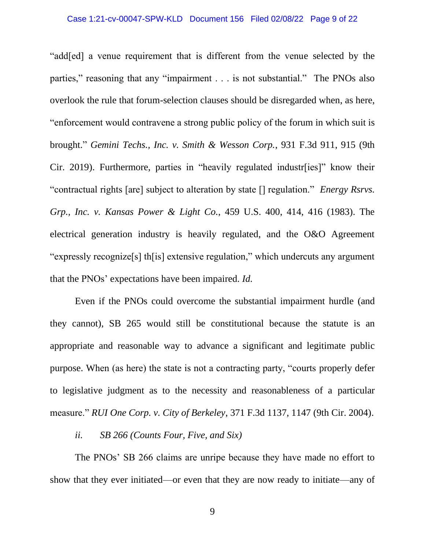#### Case 1:21-cv-00047-SPW-KLD Document 156 Filed 02/08/22 Page 9 of 22

"add[ed] a venue requirement that is different from the venue selected by the parties," reasoning that any "impairment . . . is not substantial." The PNOs also overlook the rule that forum-selection clauses should be disregarded when, as here, "enforcement would contravene a strong public policy of the forum in which suit is brought." *Gemini Techs., Inc. v. Smith & Wesson Corp.*, 931 F.3d 911, 915 (9th Cir. 2019). Furthermore, parties in "heavily regulated industr[ies]" know their "contractual rights [are] subject to alteration by state [] regulation." *Energy Rsrvs. Grp., Inc. v. Kansas Power & Light Co.*, 459 U.S. 400, 414, 416 (1983). The electrical generation industry is heavily regulated, and the O&O Agreement "expressly recognize[s] th[is] extensive regulation," which undercuts any argument that the PNOs' expectations have been impaired. *Id.*

Even if the PNOs could overcome the substantial impairment hurdle (and they cannot), SB 265 would still be constitutional because the statute is an appropriate and reasonable way to advance a significant and legitimate public purpose. When (as here) the state is not a contracting party, "courts properly defer to legislative judgment as to the necessity and reasonableness of a particular measure." *RUI One Corp. v. City of Berkeley*, 371 F.3d 1137, 1147 (9th Cir. 2004).

## *ii. SB 266 (Counts Four, Five, and Six)*

The PNOs' SB 266 claims are unripe because they have made no effort to show that they ever initiated—or even that they are now ready to initiate—any of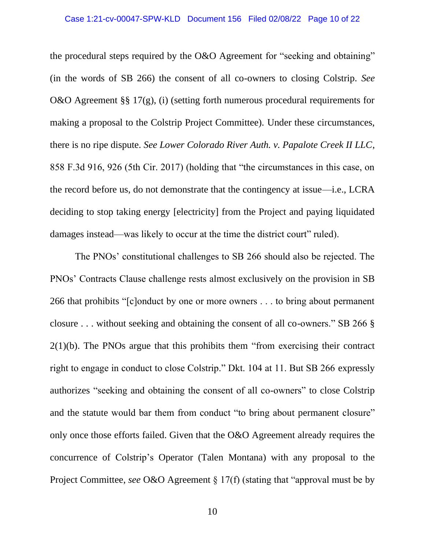the procedural steps required by the O&O Agreement for "seeking and obtaining" (in the words of SB 266) the consent of all co-owners to closing Colstrip. *See* O&O Agreement §§ 17(g), (i) (setting forth numerous procedural requirements for making a proposal to the Colstrip Project Committee). Under these circumstances, there is no ripe dispute. *See Lower Colorado River Auth. v. Papalote Creek II LLC*, 858 F.3d 916, 926 (5th Cir. 2017) (holding that "the circumstances in this case, on the record before us, do not demonstrate that the contingency at issue—i.e., LCRA deciding to stop taking energy [electricity] from the Project and paying liquidated damages instead—was likely to occur at the time the district court" ruled).

The PNOs' constitutional challenges to SB 266 should also be rejected. The PNOs' Contracts Clause challenge rests almost exclusively on the provision in SB 266 that prohibits "[c]onduct by one or more owners . . . to bring about permanent closure . . . without seeking and obtaining the consent of all co-owners." SB 266 § 2(1)(b). The PNOs argue that this prohibits them "from exercising their contract right to engage in conduct to close Colstrip." Dkt. 104 at 11. But SB 266 expressly authorizes "seeking and obtaining the consent of all co-owners" to close Colstrip and the statute would bar them from conduct "to bring about permanent closure" only once those efforts failed. Given that the O&O Agreement already requires the concurrence of Colstrip's Operator (Talen Montana) with any proposal to the Project Committee, *see* O&O Agreement § 17(f) (stating that "approval must be by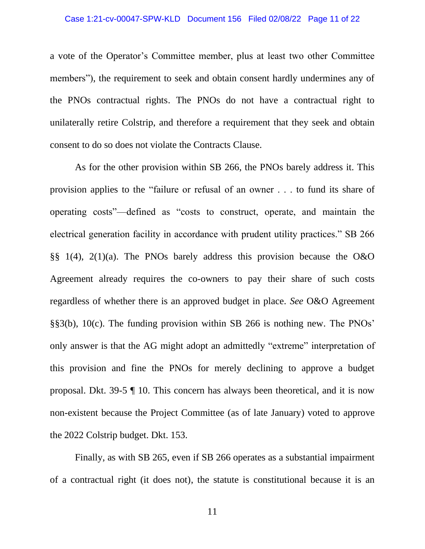#### Case 1:21-cv-00047-SPW-KLD Document 156 Filed 02/08/22 Page 11 of 22

a vote of the Operator's Committee member, plus at least two other Committee members"), the requirement to seek and obtain consent hardly undermines any of the PNOs contractual rights. The PNOs do not have a contractual right to unilaterally retire Colstrip, and therefore a requirement that they seek and obtain consent to do so does not violate the Contracts Clause.

As for the other provision within SB 266, the PNOs barely address it. This provision applies to the "failure or refusal of an owner . . . to fund its share of operating costs"—defined as "costs to construct, operate, and maintain the electrical generation facility in accordance with prudent utility practices." SB 266 §§ 1(4), 2(1)(a). The PNOs barely address this provision because the O&O Agreement already requires the co-owners to pay their share of such costs regardless of whether there is an approved budget in place. *See* O&O Agreement §§3(b), 10(c). The funding provision within SB 266 is nothing new. The PNOs' only answer is that the AG might adopt an admittedly "extreme" interpretation of this provision and fine the PNOs for merely declining to approve a budget proposal. Dkt. 39-5 ¶ 10. This concern has always been theoretical, and it is now non-existent because the Project Committee (as of late January) voted to approve the 2022 Colstrip budget. Dkt. 153.

Finally, as with SB 265, even if SB 266 operates as a substantial impairment of a contractual right (it does not), the statute is constitutional because it is an

11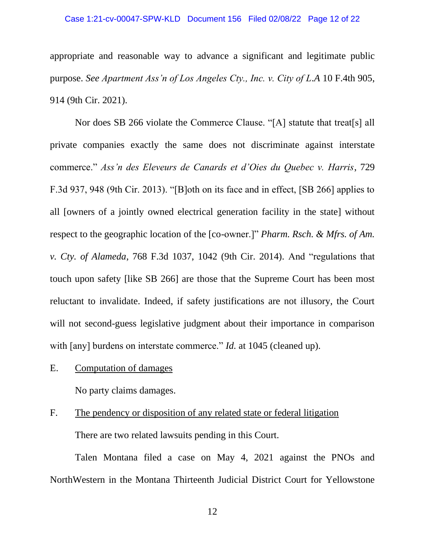#### Case 1:21-cv-00047-SPW-KLD Document 156 Filed 02/08/22 Page 12 of 22

appropriate and reasonable way to advance a significant and legitimate public purpose. *See Apartment Ass'n of Los Angeles Cty., Inc. v. City of L.A* 10 F.4th 905, 914 (9th Cir. 2021).

Nor does SB 266 violate the Commerce Clause. "[A] statute that treat[s] all private companies exactly the same does not discriminate against interstate commerce." *Ass'n des Eleveurs de Canards et d'Oies du Quebec v. Harris*, 729 F.3d 937, 948 (9th Cir. 2013). "[B]oth on its face and in effect, [SB 266] applies to all [owners of a jointly owned electrical generation facility in the state] without respect to the geographic location of the [co-owner.]" *Pharm. Rsch. & Mfrs. of Am. v. Cty. of Alameda*, 768 F.3d 1037, 1042 (9th Cir. 2014). And "regulations that touch upon safety [like SB 266] are those that the Supreme Court has been most reluctant to invalidate. Indeed, if safety justifications are not illusory, the Court will not second-guess legislative judgment about their importance in comparison with [any] burdens on interstate commerce." *Id.* at 1045 (cleaned up).

E. Computation of damages

No party claims damages.

F. The pendency or disposition of any related state or federal litigation There are two related lawsuits pending in this Court.

Talen Montana filed a case on May 4, 2021 against the PNOs and NorthWestern in the Montana Thirteenth Judicial District Court for Yellowstone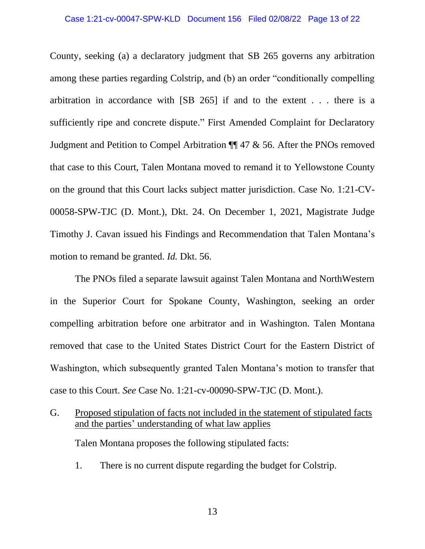#### Case 1:21-cv-00047-SPW-KLD Document 156 Filed 02/08/22 Page 13 of 22

County, seeking (a) a declaratory judgment that SB 265 governs any arbitration among these parties regarding Colstrip, and (b) an order "conditionally compelling arbitration in accordance with [SB 265] if and to the extent . . . there is a sufficiently ripe and concrete dispute." First Amended Complaint for Declaratory Judgment and Petition to Compel Arbitration ¶¶ 47 & 56. After the PNOs removed that case to this Court, Talen Montana moved to remand it to Yellowstone County on the ground that this Court lacks subject matter jurisdiction. Case No. 1:21-CV-00058-SPW-TJC (D. Mont.), Dkt. 24. On December 1, 2021, Magistrate Judge Timothy J. Cavan issued his Findings and Recommendation that Talen Montana's motion to remand be granted. *Id.* Dkt. 56.

The PNOs filed a separate lawsuit against Talen Montana and NorthWestern in the Superior Court for Spokane County, Washington, seeking an order compelling arbitration before one arbitrator and in Washington. Talen Montana removed that case to the United States District Court for the Eastern District of Washington, which subsequently granted Talen Montana's motion to transfer that case to this Court. *See* Case No. 1:21-cv-00090-SPW-TJC (D. Mont.).

G. Proposed stipulation of facts not included in the statement of stipulated facts and the parties' understanding of what law applies

Talen Montana proposes the following stipulated facts:

1. There is no current dispute regarding the budget for Colstrip.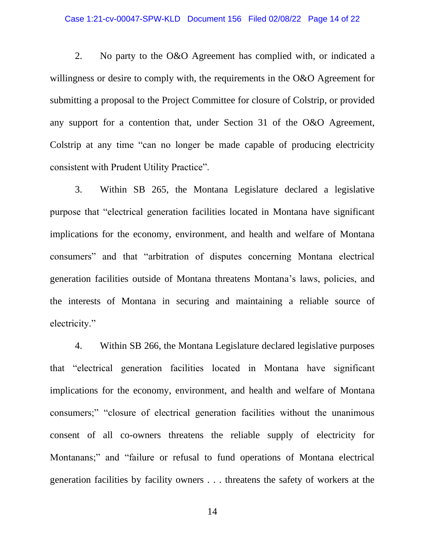#### Case 1:21-cv-00047-SPW-KLD Document 156 Filed 02/08/22 Page 14 of 22

2. No party to the O&O Agreement has complied with, or indicated a willingness or desire to comply with, the requirements in the O&O Agreement for submitting a proposal to the Project Committee for closure of Colstrip, or provided any support for a contention that, under Section 31 of the O&O Agreement, Colstrip at any time "can no longer be made capable of producing electricity consistent with Prudent Utility Practice".

3. Within SB 265, the Montana Legislature declared a legislative purpose that "electrical generation facilities located in Montana have significant implications for the economy, environment, and health and welfare of Montana consumers" and that "arbitration of disputes concerning Montana electrical generation facilities outside of Montana threatens Montana's laws, policies, and the interests of Montana in securing and maintaining a reliable source of electricity."

4. Within SB 266, the Montana Legislature declared legislative purposes that "electrical generation facilities located in Montana have significant implications for the economy, environment, and health and welfare of Montana consumers;" "closure of electrical generation facilities without the unanimous consent of all co-owners threatens the reliable supply of electricity for Montanans;" and "failure or refusal to fund operations of Montana electrical generation facilities by facility owners . . . threatens the safety of workers at the

14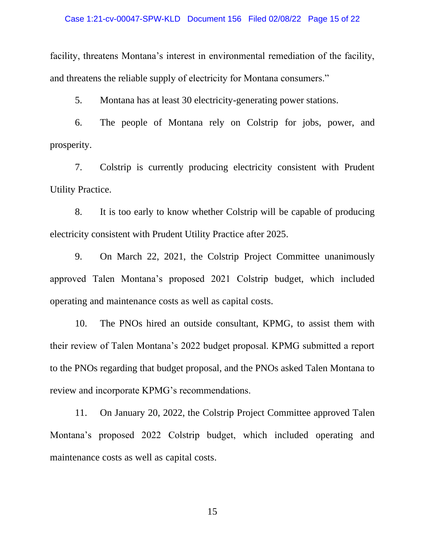#### Case 1:21-cv-00047-SPW-KLD Document 156 Filed 02/08/22 Page 15 of 22

facility, threatens Montana's interest in environmental remediation of the facility, and threatens the reliable supply of electricity for Montana consumers."

5. Montana has at least 30 electricity-generating power stations.

6. The people of Montana rely on Colstrip for jobs, power, and prosperity.

7. Colstrip is currently producing electricity consistent with Prudent Utility Practice.

8. It is too early to know whether Colstrip will be capable of producing electricity consistent with Prudent Utility Practice after 2025.

9. On March 22, 2021, the Colstrip Project Committee unanimously approved Talen Montana's proposed 2021 Colstrip budget, which included operating and maintenance costs as well as capital costs.

10. The PNOs hired an outside consultant, KPMG, to assist them with their review of Talen Montana's 2022 budget proposal. KPMG submitted a report to the PNOs regarding that budget proposal, and the PNOs asked Talen Montana to review and incorporate KPMG's recommendations.

11. On January 20, 2022, the Colstrip Project Committee approved Talen Montana's proposed 2022 Colstrip budget, which included operating and maintenance costs as well as capital costs.

15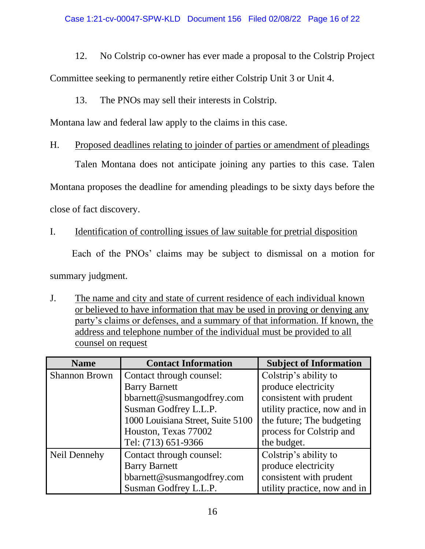12. No Colstrip co-owner has ever made a proposal to the Colstrip Project Committee seeking to permanently retire either Colstrip Unit 3 or Unit 4.

# 13. The PNOs may sell their interests in Colstrip.

Montana law and federal law apply to the claims in this case.

# H. Proposed deadlines relating to joinder of parties or amendment of pleadings

Talen Montana does not anticipate joining any parties to this case. Talen

Montana proposes the deadline for amending pleadings to be sixty days before the

close of fact discovery.

# I. Identification of controlling issues of law suitable for pretrial disposition

Each of the PNOs' claims may be subject to dismissal on a motion for

summary judgment.

J. The name and city and state of current residence of each individual known or believed to have information that may be used in proving or denying any party's claims or defenses, and a summary of that information. If known, the address and telephone number of the individual must be provided to all counsel on request

| <b>Name</b>          | <b>Contact Information</b>        | <b>Subject of Information</b> |
|----------------------|-----------------------------------|-------------------------------|
| <b>Shannon Brown</b> | Contact through counsel:          | Colstrip's ability to         |
|                      | <b>Barry Barnett</b>              | produce electricity           |
|                      | bbarnett@susmangodfrey.com        | consistent with prudent       |
|                      | Susman Godfrey L.L.P.             | utility practice, now and in  |
|                      | 1000 Louisiana Street, Suite 5100 | the future; The budgeting     |
|                      | Houston, Texas 77002              | process for Colstrip and      |
|                      | Tel: (713) 651-9366               | the budget.                   |
| Neil Dennehy         | Contact through counsel:          | Colstrip's ability to         |
|                      | <b>Barry Barnett</b>              | produce electricity           |
|                      | bbarnett@susmangodfrey.com        | consistent with prudent       |
|                      | Susman Godfrey L.L.P.             | utility practice, now and in  |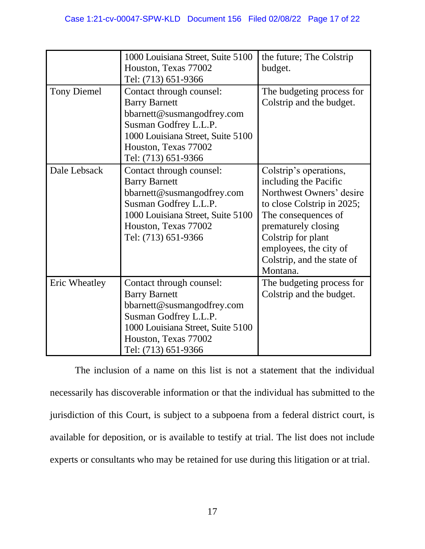|                    | 1000 Louisiana Street, Suite 5100 | the future; The Colstrip   |
|--------------------|-----------------------------------|----------------------------|
|                    | Houston, Texas 77002              | budget.                    |
|                    | Tel: (713) 651-9366               |                            |
| <b>Tony Diemel</b> | Contact through counsel:          | The budgeting process for  |
|                    | <b>Barry Barnett</b>              | Colstrip and the budget.   |
|                    | bbarnett@susmangodfrey.com        |                            |
|                    | Susman Godfrey L.L.P.             |                            |
|                    | 1000 Louisiana Street, Suite 5100 |                            |
|                    | Houston, Texas 77002              |                            |
|                    | Tel: (713) 651-9366               |                            |
| Dale Lebsack       | Contact through counsel:          | Colstrip's operations,     |
|                    | <b>Barry Barnett</b>              | including the Pacific      |
|                    | bbarnett@susmangodfrey.com        | Northwest Owners' desire   |
|                    | Susman Godfrey L.L.P.             | to close Colstrip in 2025; |
|                    | 1000 Louisiana Street, Suite 5100 | The consequences of        |
|                    | Houston, Texas 77002              | prematurely closing        |
|                    | Tel: (713) 651-9366               | Colstrip for plant         |
|                    |                                   | employees, the city of     |
|                    |                                   | Colstrip, and the state of |
|                    |                                   | Montana.                   |
| Eric Wheatley      | Contact through counsel:          | The budgeting process for  |
|                    | <b>Barry Barnett</b>              | Colstrip and the budget.   |
|                    | bbarnett@susmangodfrey.com        |                            |
|                    | Susman Godfrey L.L.P.             |                            |
|                    | 1000 Louisiana Street, Suite 5100 |                            |
|                    | Houston, Texas 77002              |                            |
|                    | Tel: (713) 651-9366               |                            |

The inclusion of a name on this list is not a statement that the individual necessarily has discoverable information or that the individual has submitted to the jurisdiction of this Court, is subject to a subpoena from a federal district court, is available for deposition, or is available to testify at trial. The list does not include experts or consultants who may be retained for use during this litigation or at trial.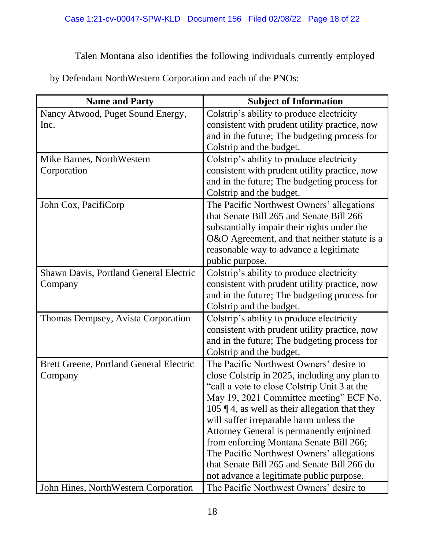Talen Montana also identifies the following individuals currently employed

by Defendant NorthWestern Corporation and each of the PNOs:

| <b>Subject of Information</b>                                                        |
|--------------------------------------------------------------------------------------|
| Colstrip's ability to produce electricity                                            |
| consistent with prudent utility practice, now                                        |
| and in the future; The budgeting process for                                         |
| Colstrip and the budget.                                                             |
| Colstrip's ability to produce electricity                                            |
| consistent with prudent utility practice, now                                        |
| and in the future; The budgeting process for                                         |
| Colstrip and the budget.                                                             |
| The Pacific Northwest Owners' allegations                                            |
| that Senate Bill 265 and Senate Bill 266                                             |
| substantially impair their rights under the                                          |
| O&O Agreement, and that neither statute is a                                         |
| reasonable way to advance a legitimate                                               |
| public purpose.                                                                      |
| Colstrip's ability to produce electricity                                            |
| consistent with prudent utility practice, now                                        |
| and in the future; The budgeting process for                                         |
| Colstrip and the budget.                                                             |
| Colstrip's ability to produce electricity                                            |
| consistent with prudent utility practice, now                                        |
| and in the future; The budgeting process for                                         |
| Colstrip and the budget.                                                             |
| The Pacific Northwest Owners' desire to                                              |
| close Colstrip in 2025, including any plan to                                        |
| "call a vote to close Colstrip Unit 3 at the                                         |
| May 19, 2021 Committee meeting" ECF No.                                              |
| 105 $\P$ 4, as well as their allegation that they                                    |
| will suffer irreparable harm unless the                                              |
| Attorney General is permanently enjoined                                             |
| from enforcing Montana Senate Bill 266;<br>The Pacific Northwest Owners' allegations |
| that Senate Bill 265 and Senate Bill 266 do                                          |
| not advance a legitimate public purpose.                                             |
| The Pacific Northwest Owners' desire to                                              |
|                                                                                      |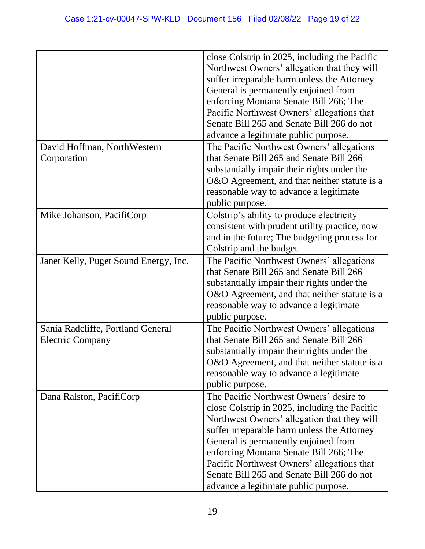|                                       | close Colstrip in 2025, including the Pacific<br>Northwest Owners' allegation that they will<br>suffer irreparable harm unless the Attorney<br>General is permanently enjoined from<br>enforcing Montana Senate Bill 266; The<br>Pacific Northwest Owners' allegations that<br>Senate Bill 265 and Senate Bill 266 do not<br>advance a legitimate public purpose. |
|---------------------------------------|-------------------------------------------------------------------------------------------------------------------------------------------------------------------------------------------------------------------------------------------------------------------------------------------------------------------------------------------------------------------|
| David Hoffman, NorthWestern           | The Pacific Northwest Owners' allegations                                                                                                                                                                                                                                                                                                                         |
| Corporation                           | that Senate Bill 265 and Senate Bill 266                                                                                                                                                                                                                                                                                                                          |
|                                       | substantially impair their rights under the                                                                                                                                                                                                                                                                                                                       |
|                                       | O&O Agreement, and that neither statute is a<br>reasonable way to advance a legitimate                                                                                                                                                                                                                                                                            |
|                                       | public purpose.                                                                                                                                                                                                                                                                                                                                                   |
| Mike Johanson, PacifiCorp             | Colstrip's ability to produce electricity                                                                                                                                                                                                                                                                                                                         |
|                                       | consistent with prudent utility practice, now                                                                                                                                                                                                                                                                                                                     |
|                                       | and in the future; The budgeting process for                                                                                                                                                                                                                                                                                                                      |
|                                       | Colstrip and the budget.                                                                                                                                                                                                                                                                                                                                          |
| Janet Kelly, Puget Sound Energy, Inc. | The Pacific Northwest Owners' allegations                                                                                                                                                                                                                                                                                                                         |
|                                       | that Senate Bill 265 and Senate Bill 266                                                                                                                                                                                                                                                                                                                          |
|                                       | substantially impair their rights under the<br>O&O Agreement, and that neither statute is a                                                                                                                                                                                                                                                                       |
|                                       | reasonable way to advance a legitimate                                                                                                                                                                                                                                                                                                                            |
|                                       | public purpose.                                                                                                                                                                                                                                                                                                                                                   |
| Sania Radcliffe, Portland General     | The Pacific Northwest Owners' allegations                                                                                                                                                                                                                                                                                                                         |
| <b>Electric Company</b>               | that Senate Bill 265 and Senate Bill 266                                                                                                                                                                                                                                                                                                                          |
|                                       | substantially impair their rights under the                                                                                                                                                                                                                                                                                                                       |
|                                       | O&O Agreement, and that neither statute is a                                                                                                                                                                                                                                                                                                                      |
|                                       | reasonable way to advance a legitimate<br>public purpose.                                                                                                                                                                                                                                                                                                         |
| Dana Ralston, PacifiCorp              | The Pacific Northwest Owners' desire to                                                                                                                                                                                                                                                                                                                           |
|                                       | close Colstrip in 2025, including the Pacific                                                                                                                                                                                                                                                                                                                     |
|                                       | Northwest Owners' allegation that they will                                                                                                                                                                                                                                                                                                                       |
|                                       | suffer irreparable harm unless the Attorney                                                                                                                                                                                                                                                                                                                       |
|                                       | General is permanently enjoined from                                                                                                                                                                                                                                                                                                                              |
|                                       | enforcing Montana Senate Bill 266; The                                                                                                                                                                                                                                                                                                                            |
|                                       | Pacific Northwest Owners' allegations that                                                                                                                                                                                                                                                                                                                        |
|                                       | Senate Bill 265 and Senate Bill 266 do not                                                                                                                                                                                                                                                                                                                        |
|                                       | advance a legitimate public purpose.                                                                                                                                                                                                                                                                                                                              |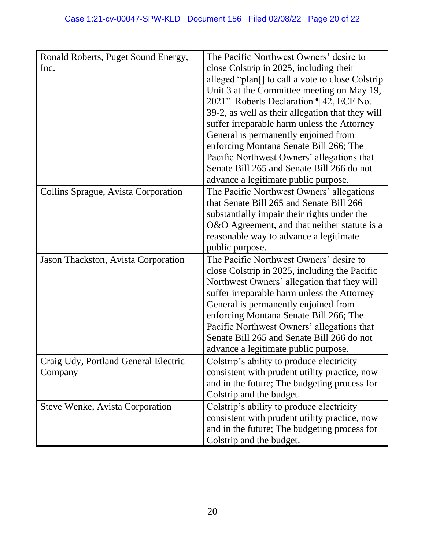| Ronald Roberts, Puget Sound Energy,    | The Pacific Northwest Owners' desire to          |
|----------------------------------------|--------------------------------------------------|
| Inc.                                   | close Colstrip in 2025, including their          |
|                                        | alleged "plan[] to call a vote to close Colstrip |
|                                        | Unit 3 at the Committee meeting on May 19,       |
|                                        | 2021" Roberts Declaration ¶ 42, ECF No.          |
|                                        | 39-2, as well as their allegation that they will |
|                                        | suffer irreparable harm unless the Attorney      |
|                                        | General is permanently enjoined from             |
|                                        | enforcing Montana Senate Bill 266; The           |
|                                        | Pacific Northwest Owners' allegations that       |
|                                        | Senate Bill 265 and Senate Bill 266 do not       |
|                                        | advance a legitimate public purpose.             |
| Collins Sprague, Avista Corporation    | The Pacific Northwest Owners' allegations        |
|                                        | that Senate Bill 265 and Senate Bill 266         |
|                                        | substantially impair their rights under the      |
|                                        | O&O Agreement, and that neither statute is a     |
|                                        | reasonable way to advance a legitimate           |
|                                        | public purpose.                                  |
|                                        | The Pacific Northwest Owners' desire to          |
| Jason Thackston, Avista Corporation    |                                                  |
|                                        | close Colstrip in 2025, including the Pacific    |
|                                        | Northwest Owners' allegation that they will      |
|                                        | suffer irreparable harm unless the Attorney      |
|                                        | General is permanently enjoined from             |
|                                        | enforcing Montana Senate Bill 266; The           |
|                                        | Pacific Northwest Owners' allegations that       |
|                                        | Senate Bill 265 and Senate Bill 266 do not       |
|                                        | advance a legitimate public purpose.             |
| Craig Udy, Portland General Electric   | Colstrip's ability to produce electricity        |
| Company                                | consistent with prudent utility practice, now    |
|                                        | and in the future; The budgeting process for     |
|                                        | Colstrip and the budget.                         |
| <b>Steve Wenke, Avista Corporation</b> | Colstrip's ability to produce electricity        |
|                                        | consistent with prudent utility practice, now    |
|                                        | and in the future; The budgeting process for     |
|                                        | Colstrip and the budget.                         |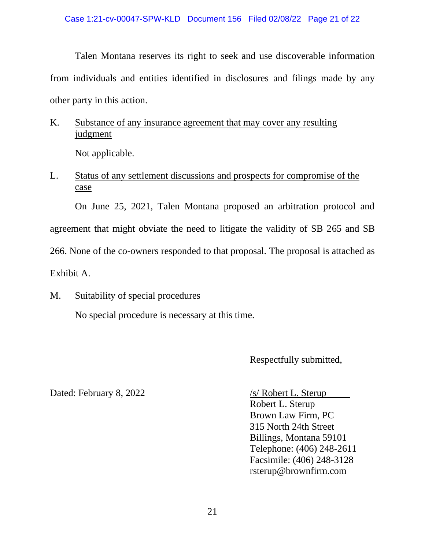Talen Montana reserves its right to seek and use discoverable information from individuals and entities identified in disclosures and filings made by any other party in this action.

K. Substance of any insurance agreement that may cover any resulting judgment

Not applicable.

L. Status of any settlement discussions and prospects for compromise of the case

On June 25, 2021, Talen Montana proposed an arbitration protocol and agreement that might obviate the need to litigate the validity of SB 265 and SB 266. None of the co-owners responded to that proposal. The proposal is attached as Exhibit A.

M. Suitability of special procedures

No special procedure is necessary at this time.

Respectfully submitted,

Dated: February 8, 2022 /s/ Robert L. Sterup

Robert L. Sterup Brown Law Firm, PC 315 North 24th Street Billings, Montana 59101 Telephone: (406) 248-2611 Facsimile: (406) 248-3128 rsterup@brownfirm.com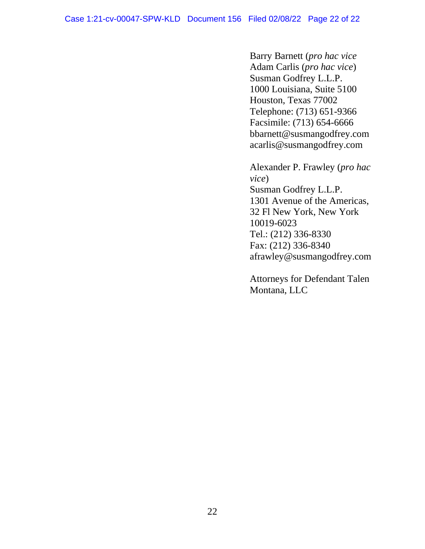Barry Barnett (*pro hac vice* Adam Carlis (*pro hac vice*) Susman Godfrey L.L.P. 1000 Louisiana, Suite 5100 Houston, Texas 77002 Telephone: (713) 651-9366 Facsimile: (713) 654-6666 bbarnett@susmangodfrey.com acarlis@susmangodfrey.com

Alexander P. Frawley (*pro hac vice*) Susman Godfrey L.L.P. 1301 Avenue of the Americas, 32 Fl New York, New York 10019-6023 Tel.: (212) 336-8330 Fax: (212) 336-8340 afrawley@susmangodfrey.com

Attorneys for Defendant Talen Montana, LLC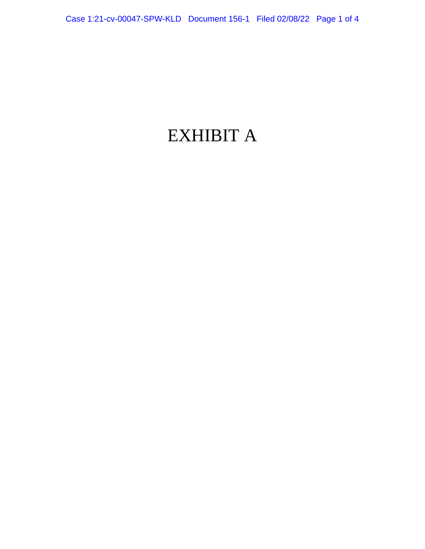# EXHIBIT A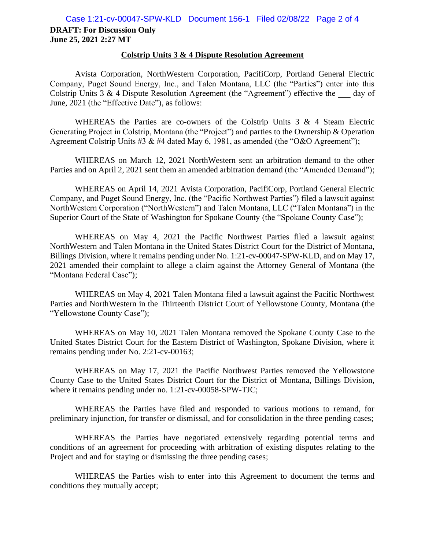#### **Colstrip Units 3 & 4 Dispute Resolution Agreement**

Avista Corporation, NorthWestern Corporation, PacifiCorp, Portland General Electric Company, Puget Sound Energy, Inc., and Talen Montana, LLC (the "Parties") enter into this Colstrip Units 3  $\&$  4 Dispute Resolution Agreement (the "Agreement") effective the day of June, 2021 (the "Effective Date"), as follows:

WHEREAS the Parties are co-owners of the Colstrip Units 3 & 4 Steam Electric Generating Project in Colstrip, Montana (the "Project") and parties to the Ownership & Operation Agreement Colstrip Units #3 & #4 dated May 6, 1981, as amended (the "O&O Agreement");

WHEREAS on March 12, 2021 NorthWestern sent an arbitration demand to the other Parties and on April 2, 2021 sent them an amended arbitration demand (the "Amended Demand");

WHEREAS on April 14, 2021 Avista Corporation, PacifiCorp, Portland General Electric Company, and Puget Sound Energy, Inc. (the "Pacific Northwest Parties") filed a lawsuit against NorthWestern Corporation ("NorthWestern") and Talen Montana, LLC ("Talen Montana") in the Superior Court of the State of Washington for Spokane County (the "Spokane County Case");

WHEREAS on May 4, 2021 the Pacific Northwest Parties filed a lawsuit against NorthWestern and Talen Montana in the United States District Court for the District of Montana, Billings Division, where it remains pending under No. 1:21-cv-00047-SPW-KLD, and on May 17, 2021 amended their complaint to allege a claim against the Attorney General of Montana (the "Montana Federal Case");

WHEREAS on May 4, 2021 Talen Montana filed a lawsuit against the Pacific Northwest Parties and NorthWestern in the Thirteenth District Court of Yellowstone County, Montana (the "Yellowstone County Case");

WHEREAS on May 10, 2021 Talen Montana removed the Spokane County Case to the United States District Court for the Eastern District of Washington, Spokane Division, where it remains pending under No. 2:21-cv-00163;

WHEREAS on May 17, 2021 the Pacific Northwest Parties removed the Yellowstone County Case to the United States District Court for the District of Montana, Billings Division, where it remains pending under no. 1:21-cv-00058-SPW-TJC;

WHEREAS the Parties have filed and responded to various motions to remand, for preliminary injunction, for transfer or dismissal, and for consolidation in the three pending cases;

WHEREAS the Parties have negotiated extensively regarding potential terms and conditions of an agreement for proceeding with arbitration of existing disputes relating to the Project and and for staying or dismissing the three pending cases;

WHEREAS the Parties wish to enter into this Agreement to document the terms and conditions they mutually accept;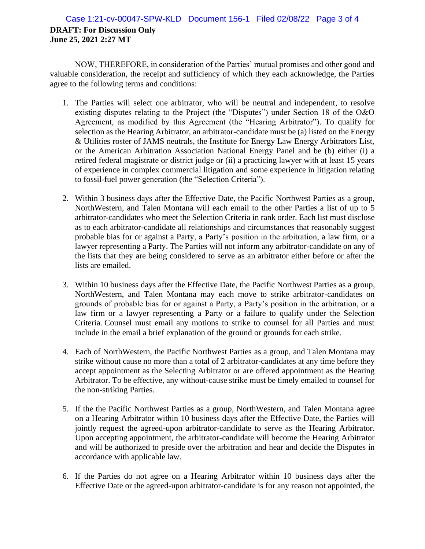## **DRAFT: For Discussion Only June 25, 2021 2:27 MT** Case 1:21-cv-00047-SPW-KLD Document 156-1 Filed 02/08/22 Page 3 of 4

NOW, THEREFORE, in consideration of the Parties' mutual promises and other good and valuable consideration, the receipt and sufficiency of which they each acknowledge, the Parties agree to the following terms and conditions:

- 1. The Parties will select one arbitrator, who will be neutral and independent, to resolve existing disputes relating to the Project (the "Disputes") under Section 18 of the O&O Agreement, as modified by this Agreement (the "Hearing Arbitrator"). To qualify for selection as the Hearing Arbitrator, an arbitrator-candidate must be (a) listed on the Energy & Utilities roster of JAMS neutrals, the Institute for Energy Law Energy Arbitrators List, or the American Arbitration Association National Energy Panel and be (b) either (i) a retired federal magistrate or district judge or (ii) a practicing lawyer with at least 15 years of experience in complex commercial litigation and some experience in litigation relating to fossil-fuel power generation (the "Selection Criteria").
- 2. Within 3 business days after the Effective Date, the Pacific Northwest Parties as a group, NorthWestern, and Talen Montana will each email to the other Parties a list of up to 5 arbitrator-candidates who meet the Selection Criteria in rank order. Each list must disclose as to each arbitrator-candidate all relationships and circumstances that reasonably suggest probable bias for or against a Party, a Party's position in the arbitration, a law firm, or a lawyer representing a Party. The Parties will not inform any arbitrator-candidate on any of the lists that they are being considered to serve as an arbitrator either before or after the lists are emailed.
- 3. Within 10 business days after the Effective Date, the Pacific Northwest Parties as a group, NorthWestern, and Talen Montana may each move to strike arbitrator-candidates on grounds of probable bias for or against a Party, a Party's position in the arbitration, or a law firm or a lawyer representing a Party or a failure to qualify under the Selection Criteria. Counsel must email any motions to strike to counsel for all Parties and must include in the email a brief explanation of the ground or grounds for each strike.
- 4. Each of NorthWestern, the Pacific Northwest Parties as a group, and Talen Montana may strike without cause no more than a total of 2 arbitrator-candidates at any time before they accept appointment as the Selecting Arbitrator or are offered appointment as the Hearing Arbitrator. To be effective, any without-cause strike must be timely emailed to counsel for the non-striking Parties.
- 5. If the the Pacific Northwest Parties as a group, NorthWestern, and Talen Montana agree on a Hearing Arbitrator within 10 business days after the Effective Date, the Parties will jointly request the agreed-upon arbitrator-candidate to serve as the Hearing Arbitrator. Upon accepting appointment, the arbitrator-candidate will become the Hearing Arbitrator and will be authorized to preside over the arbitration and hear and decide the Disputes in accordance with applicable law.
- 6. If the Parties do not agree on a Hearing Arbitrator within 10 business days after the Effective Date or the agreed-upon arbitrator-candidate is for any reason not appointed, the